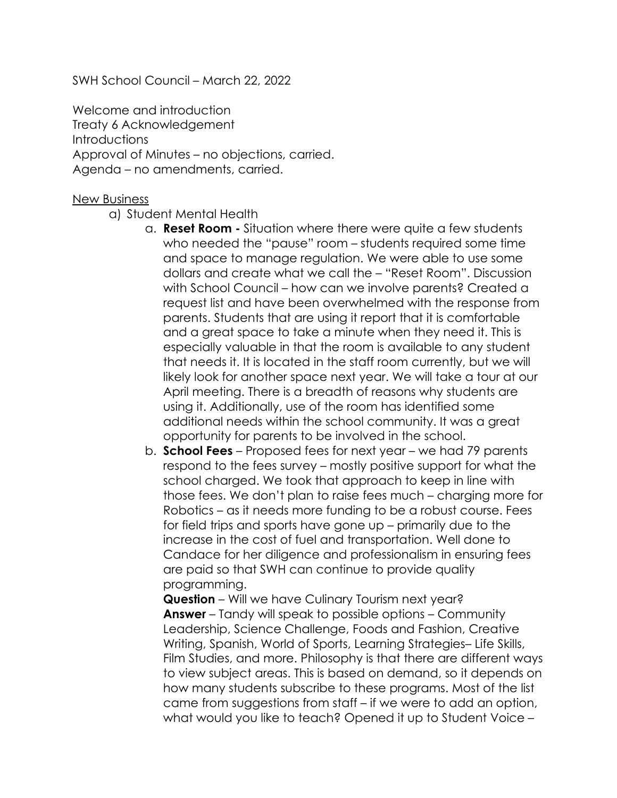SWH School Council – March 22, 2022

Welcome and introduction Treaty 6 Acknowledgement **Introductions** Approval of Minutes – no objections, carried. Agenda – no amendments, carried.

## New Business

- a) Student Mental Health
	- a. **Reset Room -** Situation where there were quite a few students who needed the "pause" room – students required some time and space to manage regulation. We were able to use some dollars and create what we call the – "Reset Room". Discussion with School Council – how can we involve parents? Created a request list and have been overwhelmed with the response from parents. Students that are using it report that it is comfortable and a great space to take a minute when they need it. This is especially valuable in that the room is available to any student that needs it. It is located in the staff room currently, but we will likely look for another space next year. We will take a tour at our April meeting. There is a breadth of reasons why students are using it. Additionally, use of the room has identified some additional needs within the school community. It was a great opportunity for parents to be involved in the school.
	- b. **School Fees**  Proposed fees for next year we had 79 parents respond to the fees survey – mostly positive support for what the school charged. We took that approach to keep in line with those fees. We don't plan to raise fees much – charging more for Robotics – as it needs more funding to be a robust course. Fees for field trips and sports have gone up – primarily due to the increase in the cost of fuel and transportation. Well done to Candace for her diligence and professionalism in ensuring fees are paid so that SWH can continue to provide quality programming.

**Question** – Will we have Culinary Tourism next year? **Answer** – Tandy will speak to possible options – Community Leadership, Science Challenge, Foods and Fashion, Creative Writing, Spanish, World of Sports, Learning Strategies– Life Skills, Film Studies, and more. Philosophy is that there are different ways to view subject areas. This is based on demand, so it depends on how many students subscribe to these programs. Most of the list came from suggestions from staff – if we were to add an option, what would you like to teach? Opened it up to Student Voice –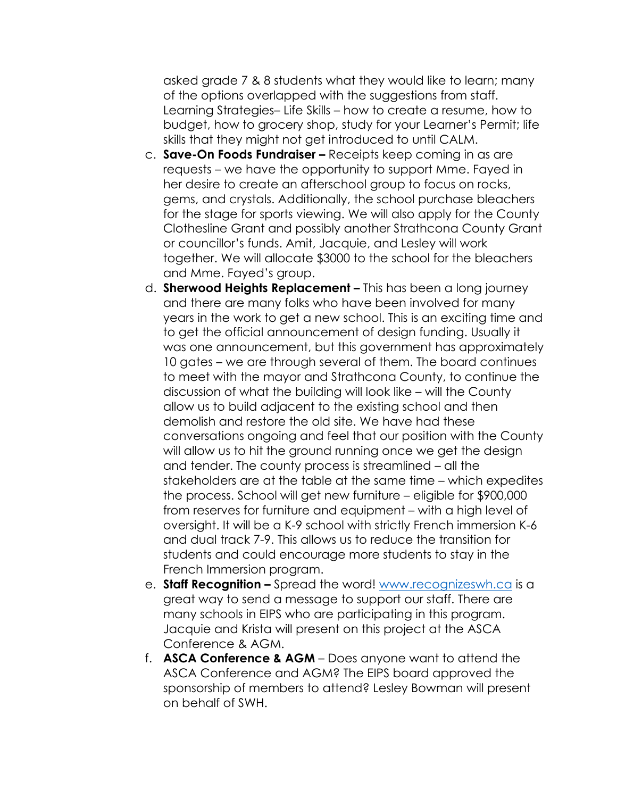asked grade 7 & 8 students what they would like to learn; many of the options overlapped with the suggestions from staff. Learning Strategies– Life Skills – how to create a resume, how to budget, how to grocery shop, study for your Learner's Permit; life skills that they might not get introduced to until CALM.

- c. **Save-On Foods Fundraiser –** Receipts keep coming in as are requests – we have the opportunity to support Mme. Fayed in her desire to create an afterschool group to focus on rocks, gems, and crystals. Additionally, the school purchase bleachers for the stage for sports viewing. We will also apply for the County Clothesline Grant and possibly another Strathcona County Grant or councillor's funds. Amit, Jacquie, and Lesley will work together. We will allocate \$3000 to the school for the bleachers and Mme. Fayed's group.
- d. **Sherwood Heights Replacement –** This has been a long journey and there are many folks who have been involved for many years in the work to get a new school. This is an exciting time and to get the official announcement of design funding. Usually it was one announcement, but this government has approximately 10 gates – we are through several of them. The board continues to meet with the mayor and Strathcona County, to continue the discussion of what the building will look like – will the County allow us to build adjacent to the existing school and then demolish and restore the old site. We have had these conversations ongoing and feel that our position with the County will allow us to hit the ground running once we get the design and tender. The county process is streamlined – all the stakeholders are at the table at the same time – which expedites the process. School will get new furniture – eligible for \$900,000 from reserves for furniture and equipment – with a high level of oversight. It will be a K-9 school with strictly French immersion K-6 and dual track 7-9. This allows us to reduce the transition for students and could encourage more students to stay in the French Immersion program.
- e. **Staff Recognition -** Spread the word! [www.recognizeswh.ca](http://www.recognizeswh.ca/) is a great way to send a message to support our staff. There are many schools in EIPS who are participating in this program. Jacquie and Krista will present on this project at the ASCA Conference & AGM.
- f. **ASCA Conference & AGM**  Does anyone want to attend the ASCA Conference and AGM? The EIPS board approved the sponsorship of members to attend? Lesley Bowman will present on behalf of SWH.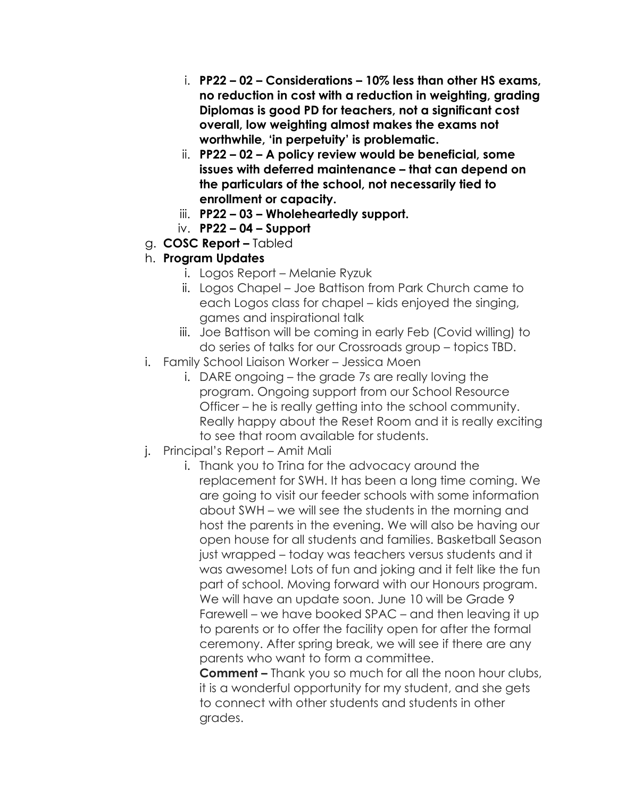- i. **PP22 – 02 – Considerations – 10% less than other HS exams, no reduction in cost with a reduction in weighting, grading Diplomas is good PD for teachers, not a significant cost overall, low weighting almost makes the exams not worthwhile, 'in perpetuity' is problematic.**
- ii. **PP22 – 02 – A policy review would be beneficial, some issues with deferred maintenance – that can depend on the particulars of the school, not necessarily tied to enrollment or capacity.**
- iii. **PP22 – 03 – Wholeheartedly support.**
- iv. **PP22 – 04 – Support**
- g. **COSC Report –** Tabled

## h. **Program Updates**

- i. Logos Report Melanie Ryzuk
- ii. Logos Chapel Joe Battison from Park Church came to each Logos class for chapel – kids enjoyed the singing, games and inspirational talk
- iii. Joe Battison will be coming in early Feb (Covid willing) to do series of talks for our Crossroads group – topics TBD.
- i. Family School Liaison Worker Jessica Moen
	- i. DARE ongoing the grade 7s are really loving the program. Ongoing support from our School Resource Officer – he is really getting into the school community. Really happy about the Reset Room and it is really exciting to see that room available for students.
- j. Principal's Report Amit Mali
	- i. Thank you to Trina for the advocacy around the replacement for SWH. It has been a long time coming. We are going to visit our feeder schools with some information about SWH – we will see the students in the morning and host the parents in the evening. We will also be having our open house for all students and families. Basketball Season just wrapped – today was teachers versus students and it was awesome! Lots of fun and joking and it felt like the fun part of school. Moving forward with our Honours program. We will have an update soon. June 10 will be Grade 9 Farewell – we have booked SPAC – and then leaving it up to parents or to offer the facility open for after the formal ceremony. After spring break, we will see if there are any parents who want to form a committee.

**Comment –** Thank you so much for all the noon hour clubs, it is a wonderful opportunity for my student, and she gets to connect with other students and students in other grades.